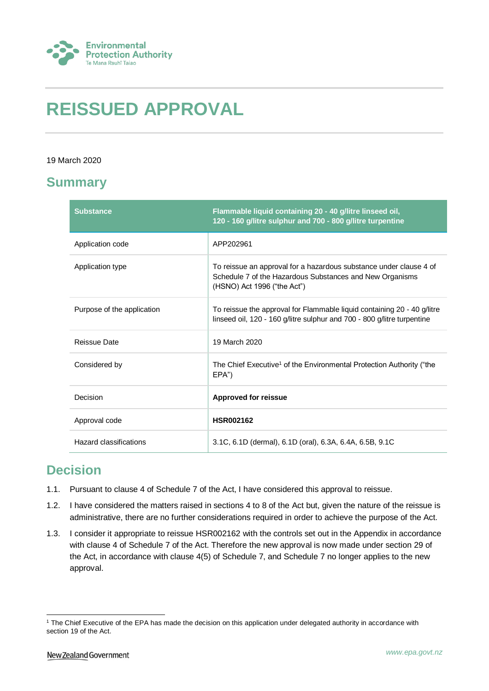

# **REISSUED APPROVAL**

#### 19 March 2020

### **Summary**

| <b>Substance</b>           | Flammable liquid containing 20 - 40 g/litre linseed oil,<br>120 - 160 g/litre sulphur and 700 - 800 g/litre turpentine                                        |
|----------------------------|---------------------------------------------------------------------------------------------------------------------------------------------------------------|
| Application code           | APP202961                                                                                                                                                     |
| Application type           | To reissue an approval for a hazardous substance under clause 4 of<br>Schedule 7 of the Hazardous Substances and New Organisms<br>(HSNO) Act 1996 ("the Act") |
| Purpose of the application | To reissue the approval for Flammable liquid containing 20 - 40 g/litre<br>linseed oil, 120 - 160 g/litre sulphur and 700 - 800 g/litre turpentine            |
| <b>Reissue Date</b>        | 19 March 2020                                                                                                                                                 |
| Considered by              | The Chief Executive <sup>1</sup> of the Environmental Protection Authority ("the<br>EPA")                                                                     |
| Decision                   | <b>Approved for reissue</b>                                                                                                                                   |
| Approval code              | <b>HSR002162</b>                                                                                                                                              |
| Hazard classifications     | 3.1C, 6.1D (dermal), 6.1D (oral), 6.3A, 6.4A, 6.5B, 9.1C                                                                                                      |

### **Decision**

- 1.1. Pursuant to clause 4 of Schedule 7 of the Act, I have considered this approval to reissue.
- 1.2. I have considered the matters raised in sections 4 to 8 of the Act but, given the nature of the reissue is administrative, there are no further considerations required in order to achieve the purpose of the Act.
- 1.3. I consider it appropriate to reissue HSR002162 with the controls set out in the Appendix in accordance with clause 4 of Schedule 7 of the Act. Therefore the new approval is now made under section 29 of the Act, in accordance with clause 4(5) of Schedule 7, and Schedule 7 no longer applies to the new approval.

<sup>1</sup> <sup>1</sup> The Chief Executive of the EPA has made the decision on this application under delegated authority in accordance with section 19 of the Act.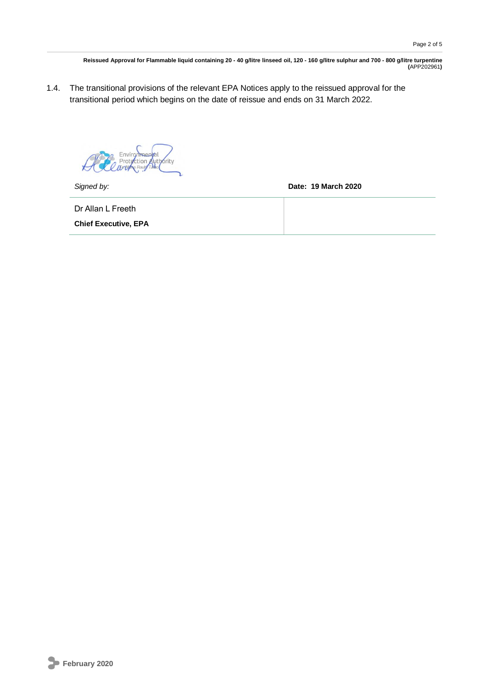1.4. The transitional provisions of the relevant EPA Notices apply to the reissued approval for the transitional period which begins on the date of reissue and ends on 31 March 2022.

ction Authority  $\star$ 

*Signed by:* **Date: 19 March 2020**

Dr Allan L Freeth

**Chief Executive, EPA**

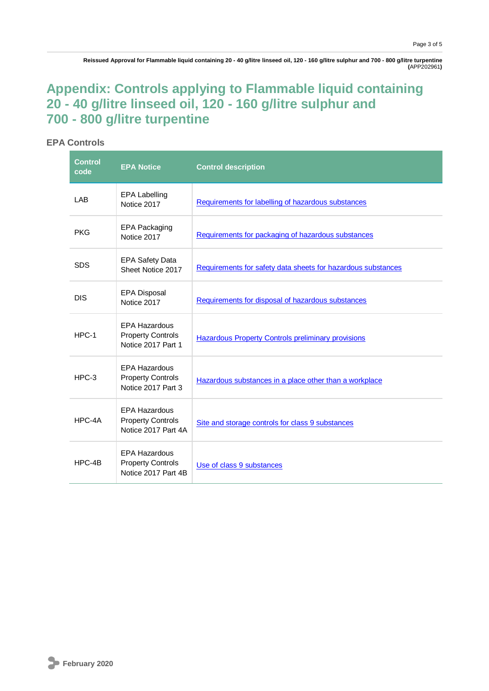## **Appendix: Controls applying to Flammable liquid containing 20 - 40 g/litre linseed oil, 120 - 160 g/litre sulphur and 700 - 800 g/litre turpentine**

#### **EPA Controls**

| <b>Control</b><br>code | <b>EPA Notice</b>                                                       | <b>Control description</b>                                   |
|------------------------|-------------------------------------------------------------------------|--------------------------------------------------------------|
| LAB                    | <b>EPA Labelling</b><br>Notice 2017                                     | Requirements for labelling of hazardous substances           |
| <b>PKG</b>             | <b>EPA Packaging</b><br>Notice 2017                                     | Requirements for packaging of hazardous substances           |
| <b>SDS</b>             | <b>EPA Safety Data</b><br>Sheet Notice 2017                             | Requirements for safety data sheets for hazardous substances |
| <b>DIS</b>             | <b>EPA Disposal</b><br>Notice 2017                                      | Requirements for disposal of hazardous substances            |
| $HPC-1$                | <b>EPA Hazardous</b><br><b>Property Controls</b><br>Notice 2017 Part 1  | <b>Hazardous Property Controls preliminary provisions</b>    |
| $HPC-3$                | <b>EPA Hazardous</b><br><b>Property Controls</b><br>Notice 2017 Part 3  | Hazardous substances in a place other than a workplace       |
| HPC-4A                 | <b>EPA Hazardous</b><br><b>Property Controls</b><br>Notice 2017 Part 4A | Site and storage controls for class 9 substances             |
| HPC-4B                 | <b>EPA Hazardous</b><br><b>Property Controls</b><br>Notice 2017 Part 4B | Use of class 9 substances                                    |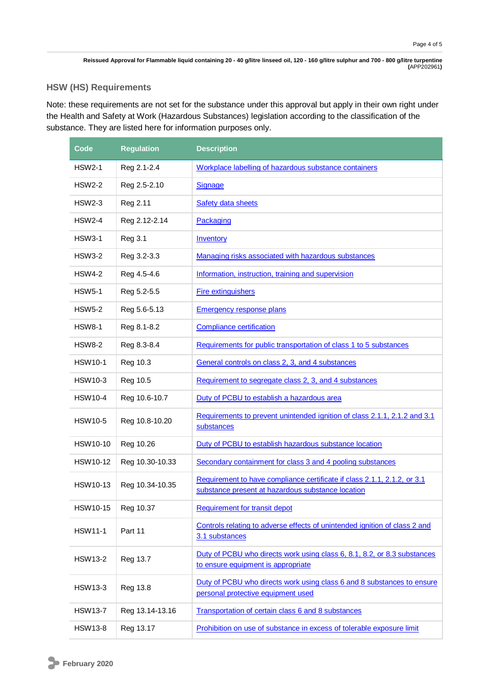### **HSW (HS) Requirements**

Note: these requirements are not set for the substance under this approval but apply in their own right under the Health and Safety at Work (Hazardous Substances) legislation according to the classification of the substance. They are listed here for information purposes only.

| Code            | <b>Regulation</b> | <b>Description</b>                                                                                                            |
|-----------------|-------------------|-------------------------------------------------------------------------------------------------------------------------------|
| <b>HSW2-1</b>   | Reg 2.1-2.4       | Workplace labelling of hazardous substance containers                                                                         |
| HSW2-2          | Reg 2.5-2.10      | <b>Signage</b>                                                                                                                |
| <b>HSW2-3</b>   | Reg 2.11          | Safety data sheets                                                                                                            |
| <b>HSW2-4</b>   | Reg 2.12-2.14     | Packaging                                                                                                                     |
| <b>HSW3-1</b>   | <b>Reg 3.1</b>    | Inventory                                                                                                                     |
| <b>HSW3-2</b>   | Reg 3.2-3.3       | Managing risks associated with hazardous substances                                                                           |
| HSW4-2          | Reg 4.5-4.6       | Information, instruction, training and supervision                                                                            |
| <b>HSW5-1</b>   | Reg 5.2-5.5       | <b>Fire extinguishers</b>                                                                                                     |
| <b>HSW5-2</b>   | Reg 5.6-5.13      | <b>Emergency response plans</b>                                                                                               |
| <b>HSW8-1</b>   | Reg 8.1-8.2       | <b>Compliance certification</b>                                                                                               |
| <b>HSW8-2</b>   | Reg 8.3-8.4       | Requirements for public transportation of class 1 to 5 substances                                                             |
| <b>HSW10-1</b>  | Reg 10.3          | General controls on class 2, 3, and 4 substances                                                                              |
| HSW10-3         | Reg 10.5          | Requirement to segregate class 2, 3, and 4 substances                                                                         |
| <b>HSW10-4</b>  | Reg 10.6-10.7     | Duty of PCBU to establish a hazardous area                                                                                    |
| <b>HSW10-5</b>  | Reg 10.8-10.20    | Requirements to prevent unintended ignition of class 2.1.1, 2.1.2 and 3.1<br>substances                                       |
| HSW10-10        | Reg 10.26         | Duty of PCBU to establish hazardous substance location                                                                        |
| <b>HSW10-12</b> | Reg 10.30-10.33   | Secondary containment for class 3 and 4 pooling substances                                                                    |
| <b>HSW10-13</b> | Reg 10.34-10.35   | Requirement to have compliance certificate if class 2.1.1, 2.1.2, or 3.1<br>substance present at hazardous substance location |
| HSW10-15        | Reg 10.37         | <b>Requirement for transit depot</b>                                                                                          |
| <b>HSW11-1</b>  | Part 11           | Controls relating to adverse effects of unintended ignition of class 2 and<br>3.1 substances                                  |
| <b>HSW13-2</b>  | Reg 13.7          | Duty of PCBU who directs work using class 6, 8.1, 8.2, or 8.3 substances<br>to ensure equipment is appropriate                |
| HSW13-3         | Reg 13.8          | Duty of PCBU who directs work using class 6 and 8 substances to ensure<br>personal protective equipment used                  |
| <b>HSW13-7</b>  | Reg 13.14-13.16   | Transportation of certain class 6 and 8 substances                                                                            |
| HSW13-8         | Reg 13.17         | Prohibition on use of substance in excess of tolerable exposure limit                                                         |